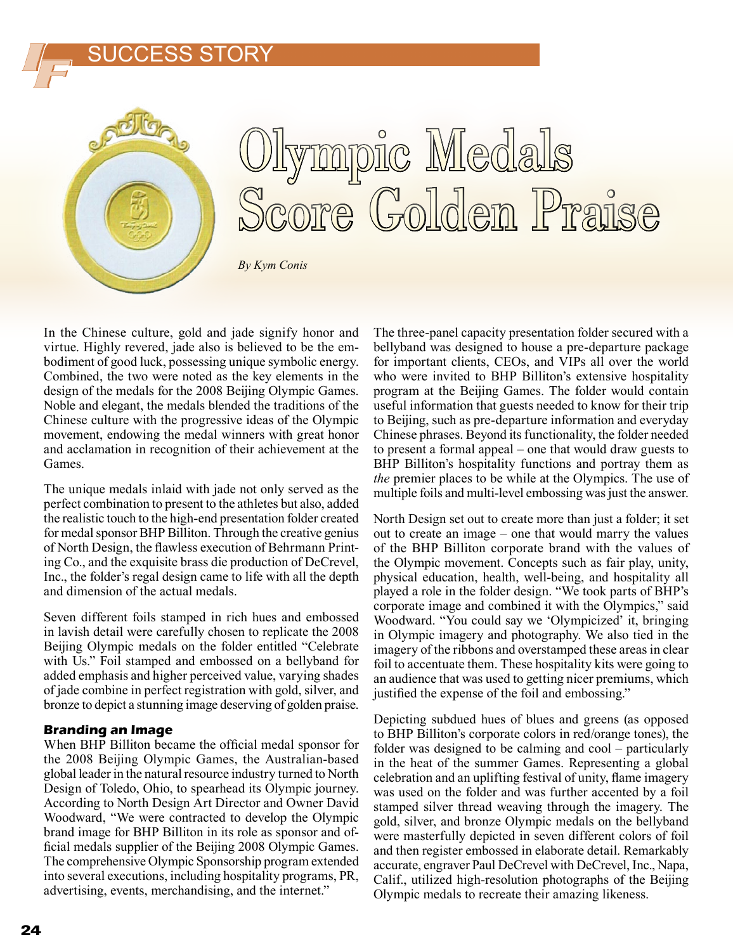### SUCCESS STORY



# mpic Medals<br>re Golden Praise

*By Kym Conis*

In the Chinese culture, gold and jade signify honor and virtue. Highly revered, jade also is believed to be the embodiment of good luck, possessing unique symbolic energy. Combined, the two were noted as the key elements in the design of the medals for the 2008 Beijing Olympic Games. Noble and elegant, the medals blended the traditions of the Chinese culture with the progressive ideas of the Olympic movement, endowing the medal winners with great honor and acclamation in recognition of their achievement at the Games.

The unique medals inlaid with jade not only served as the perfect combination to present to the athletes but also, added the realistic touch to the high-end presentation folder created for medal sponsor BHP Billiton. Through the creative genius of North Design, the flawless execution of Behrmann Printing Co., and the exquisite brass die production of DeCrevel, Inc., the folder's regal design came to life with all the depth and dimension of the actual medals.

Seven different foils stamped in rich hues and embossed in lavish detail were carefully chosen to replicate the 2008 Beijing Olympic medals on the folder entitled "Celebrate with Us." Foil stamped and embossed on a bellyband for added emphasis and higher perceived value, varying shades of jade combine in perfect registration with gold, silver, and bronze to depict a stunning image deserving of golden praise.

#### **Branding an Image**

When BHP Billiton became the official medal sponsor for the 2008 Beijing Olympic Games, the Australian-based global leader in the natural resource industry turned to North Design of Toledo, Ohio, to spearhead its Olympic journey. According to North Design Art Director and Owner David Woodward, "We were contracted to develop the Olympic brand image for BHP Billiton in its role as sponsor and official medals supplier of the Beijing 2008 Olympic Games. The comprehensive Olympic Sponsorship program extended into several executions, including hospitality programs, PR, advertising, events, merchandising, and the internet."

The three-panel capacity presentation folder secured with a bellyband was designed to house a pre-departure package for important clients, CEOs, and VIPs all over the world who were invited to BHP Billiton's extensive hospitality program at the Beijing Games. The folder would contain useful information that guests needed to know for their trip to Beijing, such as pre-departure information and everyday Chinese phrases. Beyond its functionality, the folder needed to present a formal appeal – one that would draw guests to BHP Billiton's hospitality functions and portray them as *the* premier places to be while at the Olympics. The use of multiple foils and multi-level embossing was just the answer.

North Design set out to create more than just a folder; it set out to create an image – one that would marry the values of the BHP Billiton corporate brand with the values of the Olympic movement. Concepts such as fair play, unity, physical education, health, well-being, and hospitality all played a role in the folder design. "We took parts of BHP's corporate image and combined it with the Olympics," said Woodward. "You could say we 'Olympicized' it, bringing in Olympic imagery and photography. We also tied in the imagery of the ribbons and overstamped these areas in clear foil to accentuate them. These hospitality kits were going to an audience that was used to getting nicer premiums, which justified the expense of the foil and embossing."

Depicting subdued hues of blues and greens (as opposed to BHP Billiton's corporate colors in red/orange tones), the folder was designed to be calming and cool – particularly in the heat of the summer Games. Representing a global celebration and an uplifting festival of unity, flame imagery was used on the folder and was further accented by a foil stamped silver thread weaving through the imagery. The gold, silver, and bronze Olympic medals on the bellyband were masterfully depicted in seven different colors of foil and then register embossed in elaborate detail. Remarkably accurate, engraver Paul DeCrevel with DeCrevel, Inc., Napa, Calif., utilized high-resolution photographs of the Beijing Olympic medals to recreate their amazing likeness.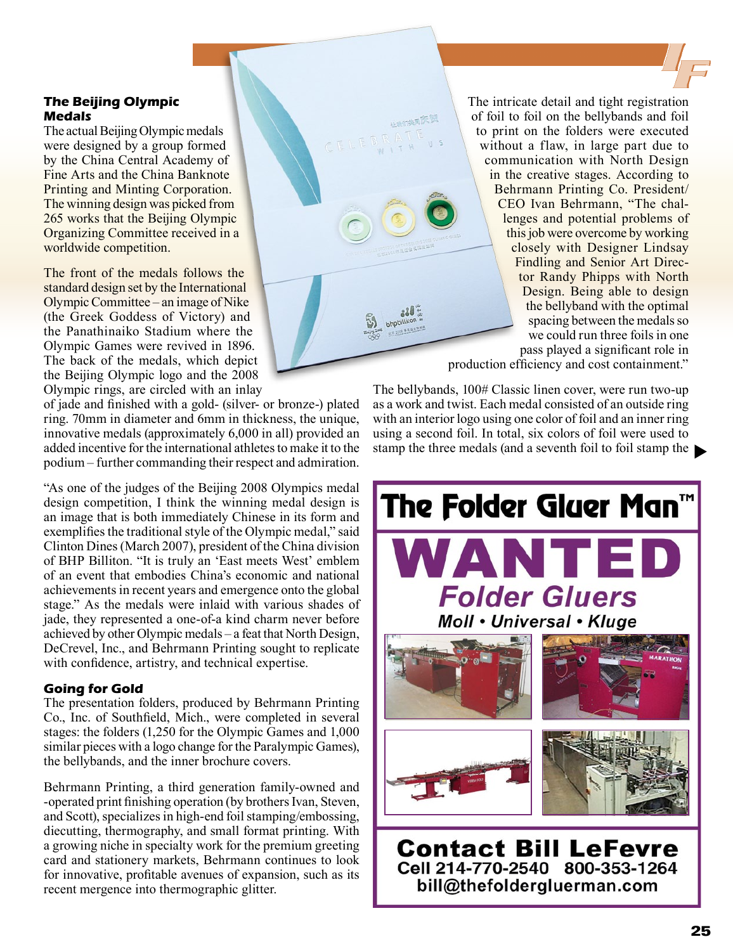#### **The Beijing Olympic Medals**

The actual Beijing Olympic medals were designed by a group formed by the China Central Academy of Fine Arts and the China Banknote Printing and Minting Corporation. The winning design was picked from 265 works that the Beijing Olympic Organizing Committee received in a worldwide competition.

The front of the medals follows the standard design set by the International Olympic Committee – an image of Nike (the Greek Goddess of Victory) and the Panathinaiko Stadium where the Olympic Games were revived in 1896. The back of the medals, which depict the Beijing Olympic logo and the 2008 Olympic rings, are circled with an inlay

of jade and finished with a gold- (silver- or bronze-) plated ring. 70mm in diameter and 6mm in thickness, the unique, innovative medals (approximately 6,000 in all) provided an added incentive for the international athletes to make it to the podium – further commanding their respect and admiration.

"As one of the judges of the Beijing 2008 Olympics medal design competition, I think the winning medal design is an image that is both immediately Chinese in its form and exemplifies the traditional style of the Olympic medal," said Clinton Dines (March 2007), president of the China division of BHP Billiton. "It is truly an 'East meets West' emblem of an event that embodies China's economic and national achievements in recent years and emergence onto the global stage." As the medals were inlaid with various shades of jade, they represented a one-of-a kind charm never before achieved by other Olympic medals – a feat that North Design, DeCrevel, Inc., and Behrmann Printing sought to replicate with confidence, artistry, and technical expertise.

#### **Going for Gold**

The presentation folders, produced by Behrmann Printing Co., Inc. of Southfield, Mich., were completed in several stages: the folders (1,250 for the Olympic Games and 1,000 similar pieces with a logo change for the Paralympic Games), the bellybands, and the inner brochure covers.

Behrmann Printing, a third generation family-owned and -operated print finishing operation (by brothers Ivan, Steven, and Scott), specializes in high-end foil stamping/embossing, diecutting, thermography, and small format printing. With a growing niche in specialty work for the premium greeting card and stationery markets, Behrmann continues to look for innovative, profitable avenues of expansion, such as its recent mergence into thermographic glitter.

The intricate detail and tight registration of foil to foil on the bellybands and foil to print on the folders were executed without a flaw, in large part due to communication with North Design in the creative stages. According to Behrmann Printing Co. President/ CEO Ivan Behrmann, "The challenges and potential problems of this job were overcome by working closely with Designer Lindsay Findling and Senior Art Director Randy Phipps with North Design. Being able to design the bellyband with the optimal spacing between the medals so we could run three foils in one pass played a significant role in

production efficiency and cost containment."

stamp the three medals (and a seventh foil to foil stamp the The bellybands, 100# Classic linen cover, were run two-up as a work and twist. Each medal consisted of an outside ring with an interior logo using one color of foil and an inner ring using a second foil. In total, six colors of foil were used to



bill@thefoldergluerman.com